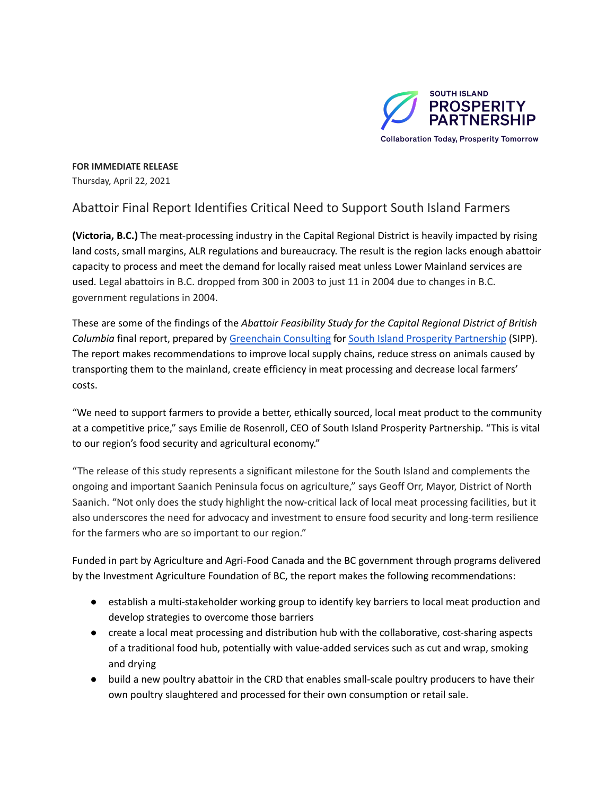

**FOR IMMEDIATE RELEASE** Thursday, April 22, 2021

## Abattoir Final Report Identifies Critical Need to Support South Island Farmers

**(Victoria, B.C.)** The meat-processing industry in the Capital Regional District is heavily impacted by rising land costs, small margins, ALR regulations and bureaucracy. The result is the region lacks enough abattoir capacity to process and meet the demand for locally raised meat unless Lower Mainland services are used. Legal abattoirs in B.C. dropped from 300 in 2003 to just 11 in 2004 due to changes in B.C. government regulations in 2004.

These are some of the findings of the *Abattoir Feasibility Study for the Capital Regional District of British Columbia* final report, prepared by [Greenchain](https://www.greenchainconsulting.ca/) Consulting for South Island Prosperity [Partnership](https://southislandprosperity.ca/) (SIPP). The report makes recommendations to improve local supply chains, reduce stress on animals caused by transporting them to the mainland, create efficiency in meat processing and decrease local farmers' costs.

"We need to support farmers to provide a better, ethically sourced, local meat product to the community at a competitive price," says Emilie de Rosenroll, CEO of South Island Prosperity Partnership. "This is vital to our region's food security and agricultural economy."

"The release of this study represents a significant milestone for the South Island and complements the ongoing and important Saanich Peninsula focus on agriculture," says Geoff Orr, Mayor, District of North Saanich. "Not only does the study highlight the now-critical lack of local meat processing facilities, but it also underscores the need for advocacy and investment to ensure food security and long-term resilience for the farmers who are so important to our region."

Funded in part by Agriculture and Agri-Food Canada and the BC government through programs delivered by the Investment Agriculture Foundation of BC, the report makes the following recommendations:

- establish a multi-stakeholder working group to identify key barriers to local meat production and develop strategies to overcome those barriers
- create a local meat processing and distribution hub with the collaborative, cost-sharing aspects of a traditional food hub, potentially with value-added services such as cut and wrap, smoking and drying
- build a new poultry abattoir in the CRD that enables small-scale poultry producers to have their own poultry slaughtered and processed for their own consumption or retail sale.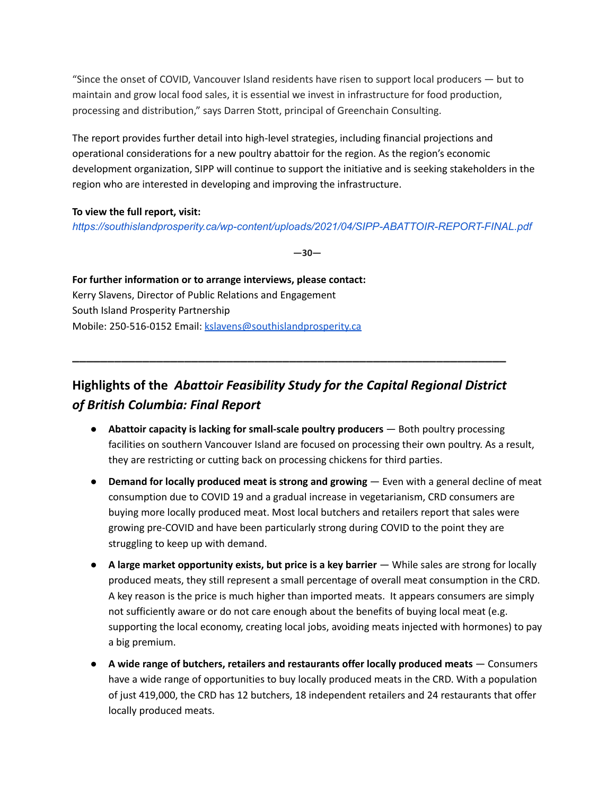"Since the onset of COVID, Vancouver Island residents have risen to support local producers — but to maintain and grow local food sales, it is essential we invest in infrastructure for food production, processing and distribution," says Darren Stott, principal of Greenchain Consulting.

The report provides further detail into high-level strategies, including financial projections and operational considerations for a new poultry abattoir for the region. As the region's economic development organization, SIPP will continue to support the initiative and is seeking stakeholders in the region who are interested in developing and improving the infrastructure.

## **To view the full report, visit:**

*<https://southislandprosperity.ca/wp-content/uploads/2021/04/SIPP-ABATTOIR-REPORT-FINAL.pdf>*

**—30—**

**For further information or to arrange interviews, please contact:** Kerry Slavens, Director of Public Relations and Engagement South Island Prosperity Partnership Mobile: 250-516-0152 Email: [kslavens@southislandprosperity.ca](mailto:kslavens@southislandprosperity.ca)

## **Highlights of the** *Abattoir Feasibility Study for the Capital Regional District of British Columbia: Final Report*

**\_\_\_\_\_\_\_\_\_\_\_\_\_\_\_\_\_\_\_\_\_\_\_\_\_\_\_\_\_\_\_\_\_\_\_\_\_\_\_\_\_\_\_\_\_\_\_\_\_\_\_\_\_\_\_\_\_\_\_\_\_\_**

- **Abattoir capacity is lacking for small-scale poultry producers** Both poultry processing facilities on southern Vancouver Island are focused on processing their own poultry. As a result, they are restricting or cutting back on processing chickens for third parties.
- **Demand for locally produced meat is strong and growing** Even with a general decline of meat consumption due to COVID 19 and a gradual increase in vegetarianism, CRD consumers are buying more locally produced meat. Most local butchers and retailers report that sales were growing pre-COVID and have been particularly strong during COVID to the point they are struggling to keep up with demand.
- **A large market opportunity exists, but price is a key barrier** While sales are strong for locally produced meats, they still represent a small percentage of overall meat consumption in the CRD. A key reason is the price is much higher than imported meats. It appears consumers are simply not sufficiently aware or do not care enough about the benefits of buying local meat (e.g. supporting the local economy, creating local jobs, avoiding meats injected with hormones) to pay a big premium.
- **A wide range of butchers, retailers and restaurants offer locally produced meats** Consumers have a wide range of opportunities to buy locally produced meats in the CRD. With a population of just 419,000, the CRD has 12 butchers, 18 independent retailers and 24 restaurants that offer locally produced meats.